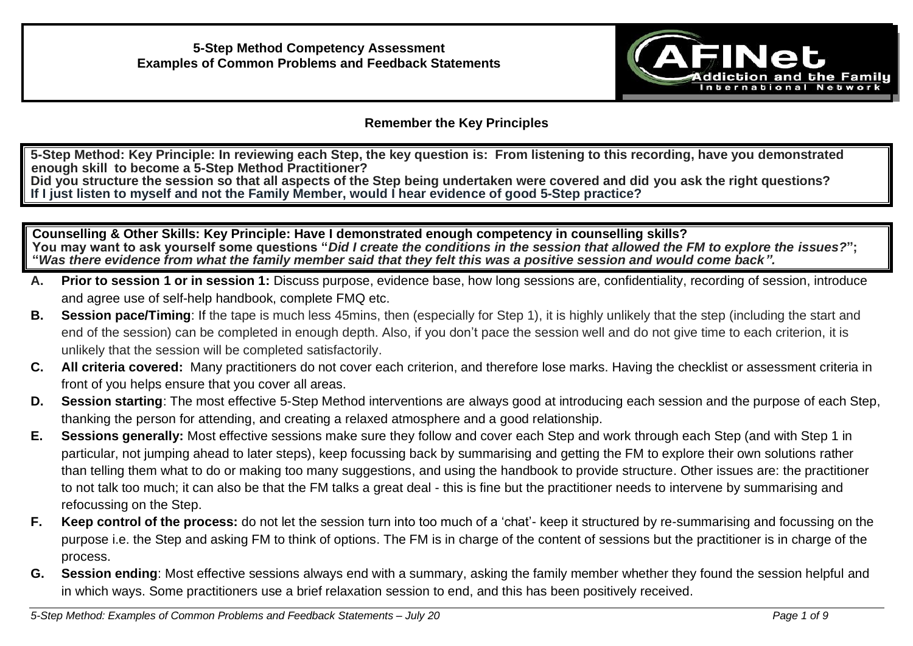

## **Remember the Key Principles**

**5-Step Method: Key Principle: In reviewing each Step, the key question is: From listening to this recording, have you demonstrated enough skill to become a 5-Step Method Practitioner?** 

**Did you structure the session so that all aspects of the Step being undertaken were covered and did you ask the right questions? If I just listen to myself and not the Family Member, would I hear evidence of good 5-Step practice?**

**Counselling & Other Skills: Key Principle: Have I demonstrated enough competency in counselling skills? You may want to ask yourself some questions "***Did I create the conditions in the session that allowed the FM to explore the issues?***"; "***Was there evidence from what the family member said that they felt this was a positive session and would come back".*

- **A. Prior to session 1 or in session 1:** Discuss purpose, evidence base, how long sessions are, confidentiality, recording of session, introduce and agree use of self-help handbook, complete FMQ etc.
- **B. Session pace/Timing**: If the tape is much less 45mins, then (especially for Step 1), it is highly unlikely that the step (including the start and end of the session) can be completed in enough depth. Also, if you don't pace the session well and do not give time to each criterion, it is unlikely that the session will be completed satisfactorily.
- **C. All criteria covered:** Many practitioners do not cover each criterion, and therefore lose marks. Having the checklist or assessment criteria in front of you helps ensure that you cover all areas.
- **D. Session starting**: The most effective 5-Step Method interventions are always good at introducing each session and the purpose of each Step, thanking the person for attending, and creating a relaxed atmosphere and a good relationship.
- **E. Sessions generally:** Most effective sessions make sure they follow and cover each Step and work through each Step (and with Step 1 in particular, not jumping ahead to later steps), keep focussing back by summarising and getting the FM to explore their own solutions rather than telling them what to do or making too many suggestions, and using the handbook to provide structure. Other issues are: the practitioner to not talk too much; it can also be that the FM talks a great deal - this is fine but the practitioner needs to intervene by summarising and refocussing on the Step.
- **F. Keep control of the process:** do not let the session turn into too much of a 'chat'- keep it structured by re-summarising and focussing on the purpose i.e. the Step and asking FM to think of options. The FM is in charge of the content of sessions but the practitioner is in charge of the process.
- **G. Session ending**: Most effective sessions always end with a summary, asking the family member whether they found the session helpful and in which ways. Some practitioners use a brief relaxation session to end, and this has been positively received.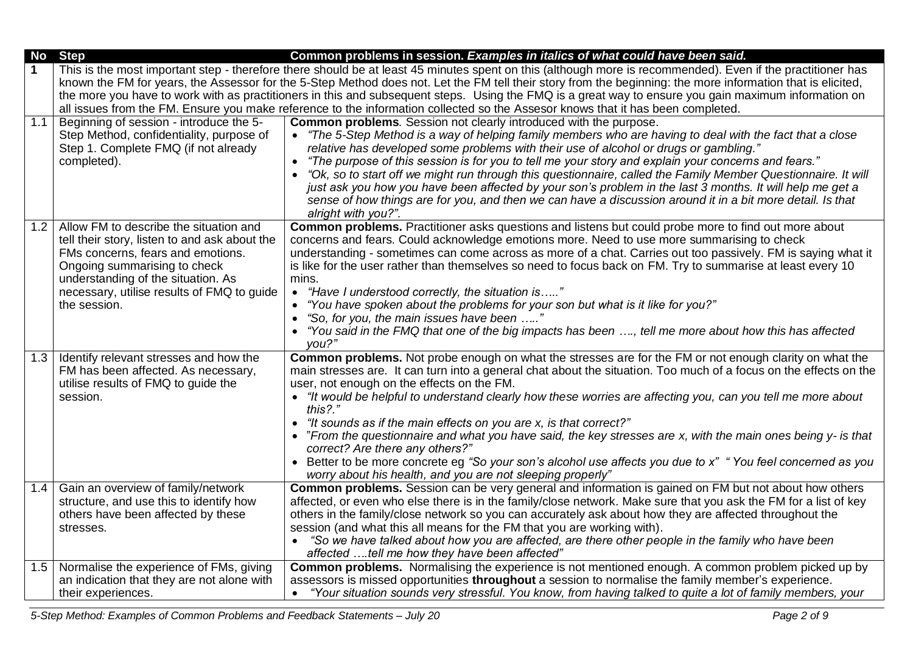|     | No Step                                                                                                                                                     | Common problems in session. Examples in italics of what could have been said.                                                                                                                                             |
|-----|-------------------------------------------------------------------------------------------------------------------------------------------------------------|---------------------------------------------------------------------------------------------------------------------------------------------------------------------------------------------------------------------------|
|     |                                                                                                                                                             | This is the most important step - therefore there should be at least 45 minutes spent on this (although more is recommended). Even if the practitioner has                                                                |
|     | known the FM for years, the Assessor for the 5-Step Method does not. Let the FM tell their story from the beginning: the more information that is elicited, |                                                                                                                                                                                                                           |
|     | the more you have to work with as practitioners in this and subsequent steps. Using the FMQ is a great way to ensure you gain maximum information on        |                                                                                                                                                                                                                           |
|     |                                                                                                                                                             | all issues from the FM. Ensure you make reference to the information collected so the Assesor knows that it has been completed.                                                                                           |
| 1.1 | Beginning of session - introduce the 5-                                                                                                                     | <b>Common problems.</b> Session not clearly introduced with the purpose.                                                                                                                                                  |
|     | Step Method, confidentiality, purpose of                                                                                                                    | • "The 5-Step Method is a way of helping family members who are having to deal with the fact that a close                                                                                                                 |
|     | Step 1. Complete FMQ (if not already                                                                                                                        | relative has developed some problems with their use of alcohol or drugs or gambling."                                                                                                                                     |
|     | completed).                                                                                                                                                 | "The purpose of this session is for you to tell me your story and explain your concerns and fears."                                                                                                                       |
|     |                                                                                                                                                             | "Ok, so to start off we might run through this questionnaire, called the Family Member Questionnaire. It will                                                                                                             |
|     |                                                                                                                                                             | just ask you how you have been affected by your son's problem in the last 3 months. It will help me get a                                                                                                                 |
|     |                                                                                                                                                             | sense of how things are for you, and then we can have a discussion around it in a bit more detail. Is that                                                                                                                |
|     |                                                                                                                                                             | alright with you?".                                                                                                                                                                                                       |
|     | 1.2   Allow FM to describe the situation and                                                                                                                | Common problems. Practitioner asks questions and listens but could probe more to find out more about                                                                                                                      |
|     | tell their story, listen to and ask about the                                                                                                               | concerns and fears. Could acknowledge emotions more. Need to use more summarising to check                                                                                                                                |
|     | FMs concerns, fears and emotions.                                                                                                                           | understanding - sometimes can come across as more of a chat. Carries out too passively. FM is saying what it                                                                                                              |
|     | Ongoing summarising to check                                                                                                                                | is like for the user rather than themselves so need to focus back on FM. Try to summarise at least every 10                                                                                                               |
|     | understanding of the situation. As                                                                                                                          | mins.                                                                                                                                                                                                                     |
|     | necessary, utilise results of FMQ to guide                                                                                                                  | "Have I understood correctly, the situation is"<br>$\bullet$                                                                                                                                                              |
|     | the session.                                                                                                                                                | "You have spoken about the problems for your son but what is it like for you?"                                                                                                                                            |
|     |                                                                                                                                                             | "So, for you, the main issues have been "<br>$\bullet$                                                                                                                                                                    |
|     |                                                                                                                                                             | "You said in the FMQ that one of the big impacts has been , tell me more about how this has affected                                                                                                                      |
|     |                                                                                                                                                             | you?"                                                                                                                                                                                                                     |
|     | 1.3 dentify relevant stresses and how the                                                                                                                   | <b>Common problems.</b> Not probe enough on what the stresses are for the FM or not enough clarity on what the                                                                                                            |
|     | FM has been affected. As necessary,                                                                                                                         | main stresses are. It can turn into a general chat about the situation. Too much of a focus on the effects on the                                                                                                         |
|     | utilise results of FMQ to guide the                                                                                                                         | user, not enough on the effects on the FM.                                                                                                                                                                                |
|     | session.                                                                                                                                                    | • "It would be helpful to understand clearly how these worries are affecting you, can you tell me more about                                                                                                              |
|     |                                                                                                                                                             | this?. $"$                                                                                                                                                                                                                |
|     |                                                                                                                                                             | • "It sounds as if the main effects on you are x, is that correct?"                                                                                                                                                       |
|     |                                                                                                                                                             | • "From the questionnaire and what you have said, the key stresses are x, with the main ones being y- is that                                                                                                             |
|     |                                                                                                                                                             | correct? Are there any others?"                                                                                                                                                                                           |
|     |                                                                                                                                                             | Better to be more concrete eg "So your son's alcohol use affects you due to x" "You feel concerned as you                                                                                                                 |
|     |                                                                                                                                                             | worry about his health, and you are not sleeping properly"                                                                                                                                                                |
| 1.4 | Gain an overview of family/network                                                                                                                          | Common problems. Session can be very general and information is gained on FM but not about how others<br>affected, or even who else there is in the family/close network. Make sure that you ask the FM for a list of key |
|     | structure, and use this to identify how                                                                                                                     |                                                                                                                                                                                                                           |
|     | others have been affected by these                                                                                                                          | others in the family/close network so you can accurately ask about how they are affected throughout the                                                                                                                   |
|     | stresses.                                                                                                                                                   | session (and what this all means for the FM that you are working with).                                                                                                                                                   |
|     |                                                                                                                                                             | • "So we have talked about how you are affected, are there other people in the family who have been                                                                                                                       |
|     | 1.5   Normalise the experience of FMs, giving                                                                                                               | affected tell me how they have been affected"<br>Common problems. Normalising the experience is not mentioned enough. A common problem picked up by                                                                       |
|     | an indication that they are not alone with                                                                                                                  | assessors is missed opportunities throughout a session to normalise the family member's experience.                                                                                                                       |
|     | their experiences.                                                                                                                                          | "Your situation sounds very stressful. You know, from having talked to quite a lot of family members, your                                                                                                                |
|     |                                                                                                                                                             |                                                                                                                                                                                                                           |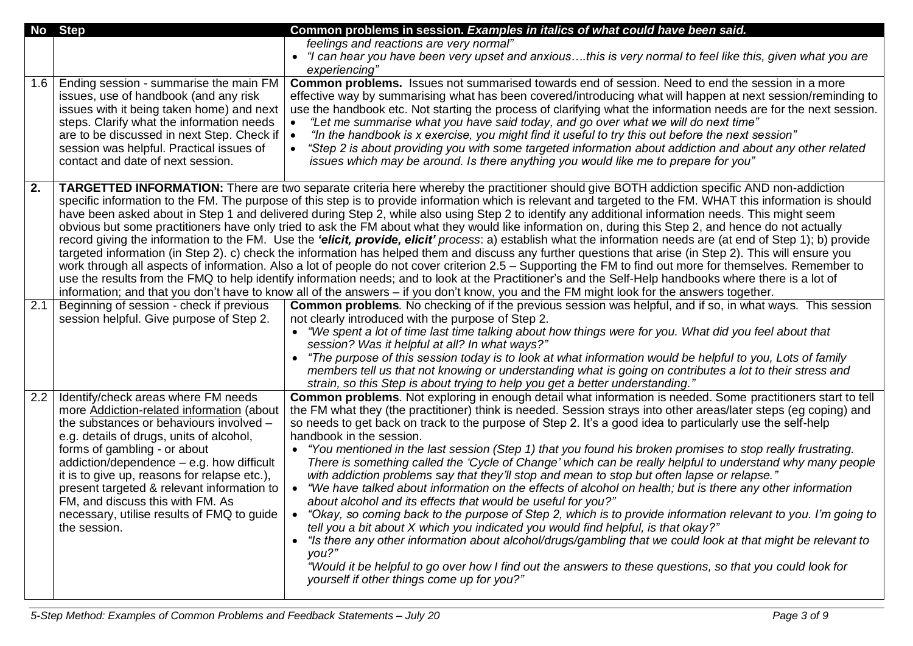|     | No Step                                                                                                                                                                                                                                                                                                                                                                                                                                                | Common problems in session. Examples in italics of what could have been said.                                                                                                                                                                                                                                                                                                                                                                                                                                                                                                                                                                                                                                                                                                                                                                                                                                                                                                                                                                                                                                                                                                                                                                                                                                                                                                                                                      |
|-----|--------------------------------------------------------------------------------------------------------------------------------------------------------------------------------------------------------------------------------------------------------------------------------------------------------------------------------------------------------------------------------------------------------------------------------------------------------|------------------------------------------------------------------------------------------------------------------------------------------------------------------------------------------------------------------------------------------------------------------------------------------------------------------------------------------------------------------------------------------------------------------------------------------------------------------------------------------------------------------------------------------------------------------------------------------------------------------------------------------------------------------------------------------------------------------------------------------------------------------------------------------------------------------------------------------------------------------------------------------------------------------------------------------------------------------------------------------------------------------------------------------------------------------------------------------------------------------------------------------------------------------------------------------------------------------------------------------------------------------------------------------------------------------------------------------------------------------------------------------------------------------------------------|
|     |                                                                                                                                                                                                                                                                                                                                                                                                                                                        | feelings and reactions are very normal"<br>"I can hear you have been very upset and anxiousthis is very normal to feel like this, given what you are                                                                                                                                                                                                                                                                                                                                                                                                                                                                                                                                                                                                                                                                                                                                                                                                                                                                                                                                                                                                                                                                                                                                                                                                                                                                               |
| 1.6 | Ending session - summarise the main FM<br>issues, use of handbook (and any risk<br>issues with it being taken home) and next<br>steps. Clarify what the information needs<br>are to be discussed in next Step. Check if $\cdot$<br>session was helpful. Practical issues of<br>contact and date of next session.                                                                                                                                       | experiencing"<br>Common problems. Issues not summarised towards end of session. Need to end the session in a more<br>effective way by summarising what has been covered/introducing what will happen at next session/reminding to<br>use the handbook etc. Not starting the process of clarifying what the information needs are for the next session.<br>"Let me summarise what you have said today, and go over what we will do next time"<br>"In the handbook is x exercise, you might find it useful to try this out before the next session"<br>"Step 2 is about providing you with some targeted information about addiction and about any other related<br>issues which may be around. Is there anything you would like me to prepare for you"                                                                                                                                                                                                                                                                                                                                                                                                                                                                                                                                                                                                                                                                              |
| 2.  |                                                                                                                                                                                                                                                                                                                                                                                                                                                        | <b>TARGETTED INFORMATION:</b> There are two separate criteria here whereby the practitioner should give BOTH addiction specific AND non-addiction<br>specific information to the FM. The purpose of this step is to provide information which is relevant and targeted to the FM. WHAT this information is should<br>have been asked about in Step 1 and delivered during Step 2, while also using Step 2 to identify any additional information needs. This might seem<br>obvious but some practitioners have only tried to ask the FM about what they would like information on, during this Step 2, and hence do not actually<br>record giving the information to the FM. Use the 'elicit, provide, elicit' process: a) establish what the information needs are (at end of Step 1); b) provide<br>targeted information (in Step 2). c) check the information has helped them and discuss any further questions that arise (in Step 2). This will ensure you<br>work through all aspects of information. Also a lot of people do not cover criterion 2.5 – Supporting the FM to find out more for themselves. Remember to<br>use the results from the FMQ to help identify information needs; and to look at the Practitioner's and the Self-Help handbooks where there is a lot of<br>information; and that you don't have to know all of the answers – if you don't know, you and the FM might look for the answers together. |
| 2.1 | Beginning of session - check if previous<br>session helpful. Give purpose of Step 2.                                                                                                                                                                                                                                                                                                                                                                   | <b>Common problems</b> . No checking of if the previous session was helpful, and if so, in what ways. This session<br>not clearly introduced with the purpose of Step 2.<br>We spent a lot of time last time talking about how things were for you. What did you feel about that<br>session? Was it helpful at all? In what ways?"<br>"The purpose of this session today is to look at what information would be helpful to you, Lots of family<br>members tell us that not knowing or understanding what is going on contributes a lot to their stress and<br>strain, so this Step is about trying to help you get a better understanding."                                                                                                                                                                                                                                                                                                                                                                                                                                                                                                                                                                                                                                                                                                                                                                                       |
| 2.2 | Identify/check areas where FM needs<br>more Addiction-related information (about<br>the substances or behaviours involved -<br>e.g. details of drugs, units of alcohol,<br>forms of gambling - or about<br>addiction/dependence $-$ e.g. how difficult<br>it is to give up, reasons for relapse etc.),<br>present targeted & relevant information to<br>FM, and discuss this with FM. As<br>necessary, utilise results of FMQ to guide<br>the session. | <b>Common problems</b> . Not exploring in enough detail what information is needed. Some practitioners start to tell<br>the FM what they (the practitioner) think is needed. Session strays into other areas/later steps (eg coping) and<br>so needs to get back on track to the purpose of Step 2. It's a good idea to particularly use the self-help<br>handbook in the session.<br>"You mentioned in the last session (Step 1) that you found his broken promises to stop really frustrating.<br>There is something called the 'Cycle of Change' which can be really helpful to understand why many people<br>with addiction problems say that they'll stop and mean to stop but often lapse or relapse."<br>"We have talked about information on the effects of alcohol on health; but is there any other information<br>about alcohol and its effects that would be useful for you?"<br>"Okay, so coming back to the purpose of Step 2, which is to provide information relevant to you. I'm going to<br>tell you a bit about X which you indicated you would find helpful, is that okay?"<br>• "Is there any other information about alcohol/drugs/gambling that we could look at that might be relevant to<br>you?"<br>"Would it be helpful to go over how I find out the answers to these questions, so that you could look for<br>yourself if other things come up for you?"                                              |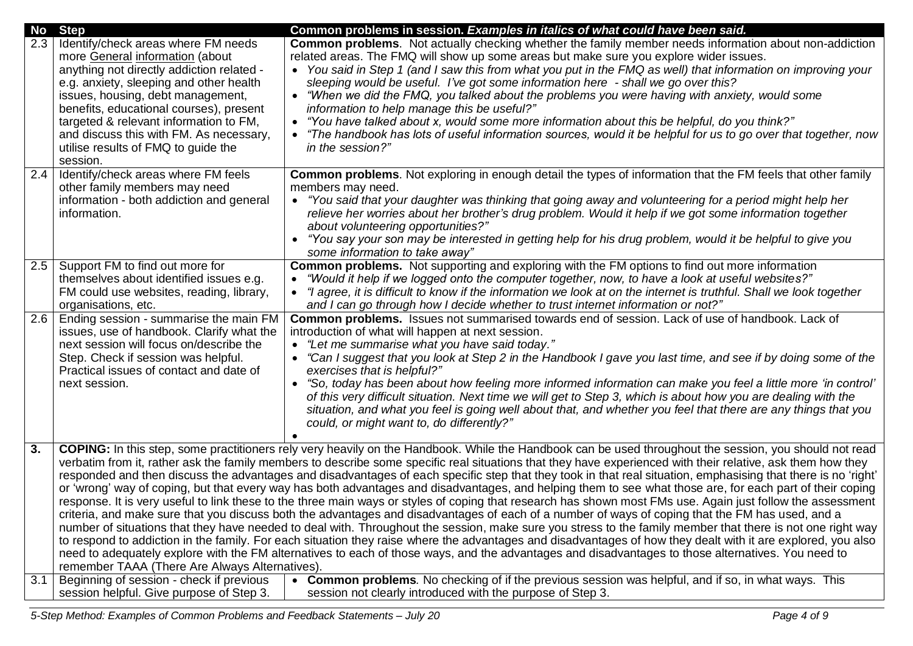| No               | <b>Step</b>                                                                                                                                                                                                                                                                                                                                                                                                                                                                                                                                                                                                                                   | Common problems in session. Examples in italics of what could have been said.                                                                                 |
|------------------|-----------------------------------------------------------------------------------------------------------------------------------------------------------------------------------------------------------------------------------------------------------------------------------------------------------------------------------------------------------------------------------------------------------------------------------------------------------------------------------------------------------------------------------------------------------------------------------------------------------------------------------------------|---------------------------------------------------------------------------------------------------------------------------------------------------------------|
| 2.3              | Identify/check areas where FM needs                                                                                                                                                                                                                                                                                                                                                                                                                                                                                                                                                                                                           | <b>Common problems.</b> Not actually checking whether the family member needs information about non-addiction                                                 |
|                  | more General information (about                                                                                                                                                                                                                                                                                                                                                                                                                                                                                                                                                                                                               | related areas. The FMQ will show up some areas but make sure you explore wider issues.                                                                        |
|                  | anything not directly addiction related -                                                                                                                                                                                                                                                                                                                                                                                                                                                                                                                                                                                                     | • You said in Step 1 (and I saw this from what you put in the FMQ as well) that information on improving your                                                 |
|                  | e.g. anxiety, sleeping and other health                                                                                                                                                                                                                                                                                                                                                                                                                                                                                                                                                                                                       | sleeping would be useful. I've got some information here - shall we go over this?                                                                             |
|                  | issues, housing, debt management,                                                                                                                                                                                                                                                                                                                                                                                                                                                                                                                                                                                                             | • "When we did the FMQ, you talked about the problems you were having with anxiety, would some                                                                |
|                  | benefits, educational courses), present                                                                                                                                                                                                                                                                                                                                                                                                                                                                                                                                                                                                       | information to help manage this be useful?"                                                                                                                   |
|                  | targeted & relevant information to FM,                                                                                                                                                                                                                                                                                                                                                                                                                                                                                                                                                                                                        | • "You have talked about x, would some more information about this be helpful, do you think?"                                                                 |
|                  | and discuss this with FM. As necessary,                                                                                                                                                                                                                                                                                                                                                                                                                                                                                                                                                                                                       | • "The handbook has lots of useful information sources, would it be helpful for us to go over that together, now                                              |
|                  | utilise results of FMQ to guide the                                                                                                                                                                                                                                                                                                                                                                                                                                                                                                                                                                                                           | in the session?"                                                                                                                                              |
|                  | session.                                                                                                                                                                                                                                                                                                                                                                                                                                                                                                                                                                                                                                      |                                                                                                                                                               |
| 2.4              | Identify/check areas where FM feels                                                                                                                                                                                                                                                                                                                                                                                                                                                                                                                                                                                                           | <b>Common problems.</b> Not exploring in enough detail the types of information that the FM feels that other family                                           |
|                  | other family members may need                                                                                                                                                                                                                                                                                                                                                                                                                                                                                                                                                                                                                 | members may need.                                                                                                                                             |
|                  | information - both addiction and general                                                                                                                                                                                                                                                                                                                                                                                                                                                                                                                                                                                                      | • "You said that your daughter was thinking that going away and volunteering for a period might help her                                                      |
|                  | information.                                                                                                                                                                                                                                                                                                                                                                                                                                                                                                                                                                                                                                  | relieve her worries about her brother's drug problem. Would it help if we got some information together                                                       |
|                  |                                                                                                                                                                                                                                                                                                                                                                                                                                                                                                                                                                                                                                               | about volunteering opportunities?"                                                                                                                            |
|                  |                                                                                                                                                                                                                                                                                                                                                                                                                                                                                                                                                                                                                                               | "You say your son may be interested in getting help for his drug problem, would it be helpful to give you<br>$\bullet$                                        |
|                  |                                                                                                                                                                                                                                                                                                                                                                                                                                                                                                                                                                                                                                               | some information to take away"                                                                                                                                |
|                  | 2.5   Support FM to find out more for                                                                                                                                                                                                                                                                                                                                                                                                                                                                                                                                                                                                         | <b>Common problems.</b> Not supporting and exploring with the FM options to find out more information                                                         |
|                  | themselves about identified issues e.g.                                                                                                                                                                                                                                                                                                                                                                                                                                                                                                                                                                                                       | "Would it help if we logged onto the computer together, now, to have a look at useful websites?"<br>$\bullet$                                                 |
|                  | FM could use websites, reading, library,                                                                                                                                                                                                                                                                                                                                                                                                                                                                                                                                                                                                      | "I agree, it is difficult to know if the information we look at on the internet is truthful. Shall we look together<br>$\bullet$                              |
|                  | organisations, etc.                                                                                                                                                                                                                                                                                                                                                                                                                                                                                                                                                                                                                           | and I can go through how I decide whether to trust internet information or not?"                                                                              |
| $\overline{2.6}$ | Ending session - summarise the main FM                                                                                                                                                                                                                                                                                                                                                                                                                                                                                                                                                                                                        | Common problems. Issues not summarised towards end of session. Lack of use of handbook. Lack of                                                               |
|                  | issues, use of handbook. Clarify what the                                                                                                                                                                                                                                                                                                                                                                                                                                                                                                                                                                                                     | introduction of what will happen at next session.                                                                                                             |
|                  | next session will focus on/describe the                                                                                                                                                                                                                                                                                                                                                                                                                                                                                                                                                                                                       | • "Let me summarise what you have said today."                                                                                                                |
|                  | Step. Check if session was helpful.                                                                                                                                                                                                                                                                                                                                                                                                                                                                                                                                                                                                           | • "Can I suggest that you look at Step 2 in the Handbook I gave you last time, and see if by doing some of the                                                |
|                  | Practical issues of contact and date of                                                                                                                                                                                                                                                                                                                                                                                                                                                                                                                                                                                                       | exercises that is helpful?"                                                                                                                                   |
|                  | next session.                                                                                                                                                                                                                                                                                                                                                                                                                                                                                                                                                                                                                                 | "So, today has been about how feeling more informed information can make you feel a little more 'in control'<br>$\bullet$                                     |
|                  |                                                                                                                                                                                                                                                                                                                                                                                                                                                                                                                                                                                                                                               | of this very difficult situation. Next time we will get to Step 3, which is about how you are dealing with the                                                |
|                  |                                                                                                                                                                                                                                                                                                                                                                                                                                                                                                                                                                                                                                               | situation, and what you feel is going well about that, and whether you feel that there are any things that you                                                |
|                  |                                                                                                                                                                                                                                                                                                                                                                                                                                                                                                                                                                                                                                               | could, or might want to, do differently?"                                                                                                                     |
|                  |                                                                                                                                                                                                                                                                                                                                                                                                                                                                                                                                                                                                                                               |                                                                                                                                                               |
| 3.               |                                                                                                                                                                                                                                                                                                                                                                                                                                                                                                                                                                                                                                               | <b>COPING:</b> In this step, some practitioners rely very heavily on the Handbook. While the Handbook can be used throughout the session, you should not read |
|                  |                                                                                                                                                                                                                                                                                                                                                                                                                                                                                                                                                                                                                                               | verbatim from it, rather ask the family members to describe some specific real situations that they have experienced with their relative, ask them how they   |
|                  | responded and then discuss the advantages and disadvantages of each specific step that they took in that real situation, emphasising that there is no 'right'<br>or 'wrong' way of coping, but that every way has both advantages and disadvantages, and helping them to see what those are, for each part of their coping<br>response. It is very useful to link these to the three main ways or styles of coping that research has shown most FMs use. Again just follow the assessment<br>criteria, and make sure that you discuss both the advantages and disadvantages of each of a number of ways of coping that the FM has used, and a |                                                                                                                                                               |
|                  |                                                                                                                                                                                                                                                                                                                                                                                                                                                                                                                                                                                                                                               |                                                                                                                                                               |
|                  |                                                                                                                                                                                                                                                                                                                                                                                                                                                                                                                                                                                                                                               |                                                                                                                                                               |
|                  |                                                                                                                                                                                                                                                                                                                                                                                                                                                                                                                                                                                                                                               | number of situations that they have needed to deal with. Throughout the session, make sure you stress to the family member that there is not one right way    |
|                  |                                                                                                                                                                                                                                                                                                                                                                                                                                                                                                                                                                                                                                               | to respond to addiction in the family. For each situation they raise where the advantages and disadvantages of how they dealt with it are explored, you also  |
|                  |                                                                                                                                                                                                                                                                                                                                                                                                                                                                                                                                                                                                                                               | need to adequately explore with the FM alternatives to each of those ways, and the advantages and disadvantages to those alternatives. You need to            |
|                  | remember TAAA (There Are Always Alternatives).                                                                                                                                                                                                                                                                                                                                                                                                                                                                                                                                                                                                |                                                                                                                                                               |
| 3.1              | Beginning of session - check if previous                                                                                                                                                                                                                                                                                                                                                                                                                                                                                                                                                                                                      | • Common problems. No checking of if the previous session was helpful, and if so, in what ways. This                                                          |
|                  | session helpful. Give purpose of Step 3.                                                                                                                                                                                                                                                                                                                                                                                                                                                                                                                                                                                                      | session not clearly introduced with the purpose of Step 3.                                                                                                    |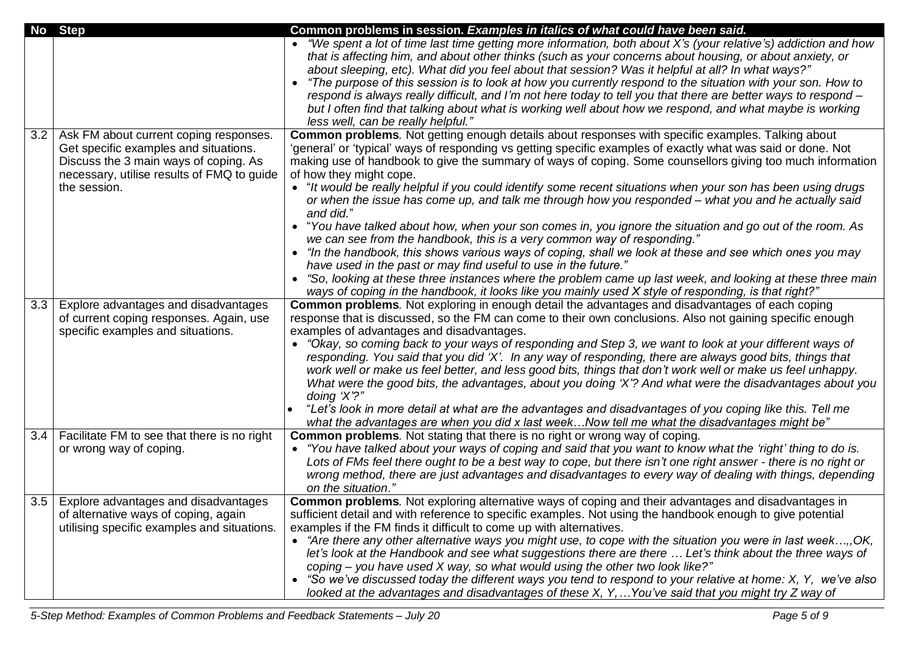|     | No Step                                     | Common problems in session. Examples in italics of what could have been said.                                           |
|-----|---------------------------------------------|-------------------------------------------------------------------------------------------------------------------------|
|     |                                             | • "We spent a lot of time last time getting more information, both about X's (your relative's) addiction and how        |
|     |                                             | that is affecting him, and about other thinks (such as your concerns about housing, or about anxiety, or                |
|     |                                             | about sleeping, etc). What did you feel about that session? Was it helpful at all? In what ways?"                       |
|     |                                             | "The purpose of this session is to look at how you currently respond to the situation with your son. How to             |
|     |                                             | respond is always really difficult, and I'm not here today to tell you that there are better ways to respond -          |
|     |                                             | but I often find that talking about what is working well about how we respond, and what maybe is working                |
|     |                                             | less well, can be really helpful."                                                                                      |
| 3.2 | Ask FM about current coping responses.      | <b>Common problems</b> . Not getting enough details about responses with specific examples. Talking about               |
|     | Get specific examples and situations.       | 'general' or 'typical' ways of responding vs getting specific examples of exactly what was said or done. Not            |
|     | Discuss the 3 main ways of coping. As       | making use of handbook to give the summary of ways of coping. Some counsellors giving too much information              |
|     | necessary, utilise results of FMQ to guide  | of how they might cope.                                                                                                 |
|     | the session.                                | • "It would be really helpful if you could identify some recent situations when your son has been using drugs           |
|     |                                             | or when the issue has come up, and talk me through how you responded – what you and he actually said                    |
|     |                                             | and did."                                                                                                               |
|     |                                             | • "You have talked about how, when your son comes in, you ignore the situation and go out of the room. As               |
|     |                                             | we can see from the handbook, this is a very common way of responding."                                                 |
|     |                                             | • "In the handbook, this shows various ways of coping, shall we look at these and see which ones you may                |
|     |                                             | have used in the past or may find useful to use in the future."                                                         |
|     |                                             | "So, looking at these three instances where the problem came up last week, and looking at these three main<br>$\bullet$ |
|     |                                             | ways of coping in the handbook, it looks like you mainly used X style of responding, is that right?"                    |
| 3.3 | Explore advantages and disadvantages        | <b>Common problems.</b> Not exploring in enough detail the advantages and disadvantages of each coping                  |
|     | of current coping responses. Again, use     | response that is discussed, so the FM can come to their own conclusions. Also not gaining specific enough               |
|     | specific examples and situations.           | examples of advantages and disadvantages.                                                                               |
|     |                                             | • "Okay, so coming back to your ways of responding and Step 3, we want to look at your different ways of                |
|     |                                             | responding. You said that you did 'X'. In any way of responding, there are always good bits, things that                |
|     |                                             | work well or make us feel better, and less good bits, things that don't work well or make us feel unhappy.              |
|     |                                             | What were the good bits, the advantages, about you doing 'X'? And what were the disadvantages about you                 |
|     |                                             | doing 'X'?"                                                                                                             |
|     |                                             | "Let's look in more detail at what are the advantages and disadvantages of you coping like this. Tell me                |
|     |                                             | what the advantages are when you did x last weekNow tell me what the disadvantages might be"                            |
| 3.4 | Facilitate FM to see that there is no right | <b>Common problems.</b> Not stating that there is no right or wrong way of coping.                                      |
|     | or wrong way of coping.                     | • "You have talked about your ways of coping and said that you want to know what the 'right' thing to do is.            |
|     |                                             | Lots of FMs feel there ought to be a best way to cope, but there isn't one right answer - there is no right or          |
|     |                                             | wrong method, there are just advantages and disadvantages to every way of dealing with things, depending                |
|     |                                             | on the situation."                                                                                                      |
| 3.5 | Explore advantages and disadvantages        | <b>Common problems</b> . Not exploring alternative ways of coping and their advantages and disadvantages in             |
|     | of alternative ways of coping, again        | sufficient detail and with reference to specific examples. Not using the handbook enough to give potential              |
|     | utilising specific examples and situations. | examples if the FM finds it difficult to come up with alternatives.                                                     |
|     |                                             | • "Are there any other alternative ways you might use, to cope with the situation you were in last week,, OK,           |
|     |                                             | let's look at the Handbook and see what suggestions there are there  Let's think about the three ways of                |
|     |                                             | coping – you have used $X$ way, so what would using the other two look like?"                                           |
|     |                                             | • "So we've discussed today the different ways you tend to respond to your relative at home: X, Y, we've also           |
|     |                                             | looked at the advantages and disadvantages of these X, Y,  You've said that you might try Z way of                      |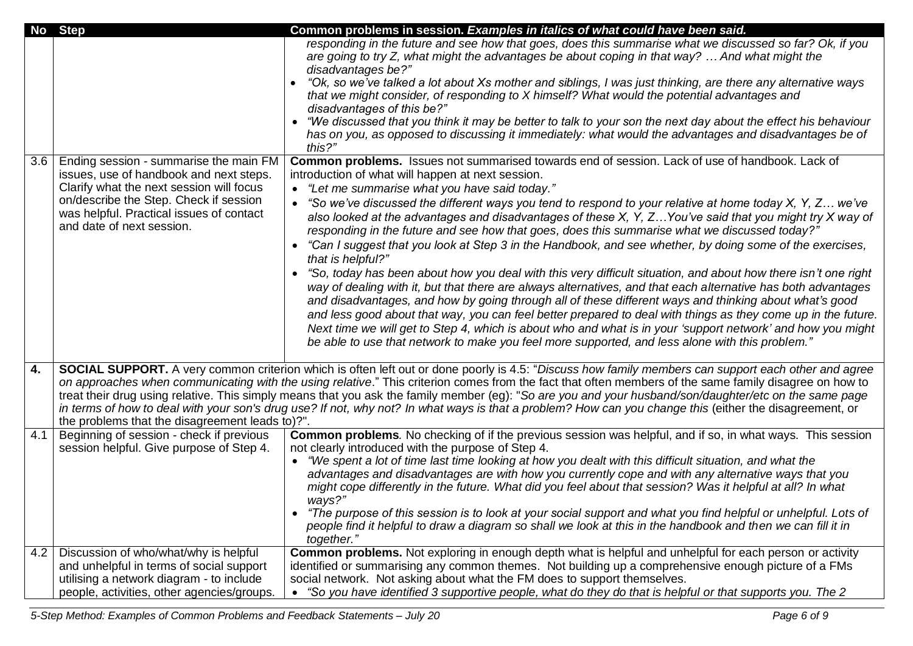| No  | <b>Step</b>                                                                                                                                                                 | Common problems in session. Examples in italics of what could have been said.                                                                                                                                                                                                                                                                                                                                                                                                                                                                                                                                                                                                                                                                                       |
|-----|-----------------------------------------------------------------------------------------------------------------------------------------------------------------------------|---------------------------------------------------------------------------------------------------------------------------------------------------------------------------------------------------------------------------------------------------------------------------------------------------------------------------------------------------------------------------------------------------------------------------------------------------------------------------------------------------------------------------------------------------------------------------------------------------------------------------------------------------------------------------------------------------------------------------------------------------------------------|
|     |                                                                                                                                                                             | responding in the future and see how that goes, does this summarise what we discussed so far? Ok, if you<br>are going to try Z, what might the advantages be about coping in that way? $\dots$ And what might the<br>disadvantages be?"                                                                                                                                                                                                                                                                                                                                                                                                                                                                                                                             |
|     |                                                                                                                                                                             | "Ok, so we've talked a lot about Xs mother and siblings, I was just thinking, are there any alternative ways<br>that we might consider, of responding to X himself? What would the potential advantages and<br>disadvantages of this be?"                                                                                                                                                                                                                                                                                                                                                                                                                                                                                                                           |
|     |                                                                                                                                                                             | "We discussed that you think it may be better to talk to your son the next day about the effect his behaviour<br>has on you, as opposed to discussing it immediately: what would the advantages and disadvantages be of<br>this?"                                                                                                                                                                                                                                                                                                                                                                                                                                                                                                                                   |
| 3.6 | Ending session - summarise the main FM<br>issues, use of handbook and next steps.<br>Clarify what the next session will focus                                               | Common problems. Issues not summarised towards end of session. Lack of use of handbook. Lack of<br>introduction of what will happen at next session.<br>• "Let me summarise what you have said today."                                                                                                                                                                                                                                                                                                                                                                                                                                                                                                                                                              |
|     | on/describe the Step. Check if session<br>was helpful. Practical issues of contact<br>and date of next session.                                                             | "So we've discussed the different ways you tend to respond to your relative at home today X, Y, Z we've<br>also looked at the advantages and disadvantages of these X, Y, Z You've said that you might try X way of<br>responding in the future and see how that goes, does this summarise what we discussed today?"<br>"Can I suggest that you look at Step 3 in the Handbook, and see whether, by doing some of the exercises,<br>that is helpful?"                                                                                                                                                                                                                                                                                                               |
|     |                                                                                                                                                                             | "So, today has been about how you deal with this very difficult situation, and about how there isn't one right<br>way of dealing with it, but that there are always alternatives, and that each alternative has both advantages<br>and disadvantages, and how by going through all of these different ways and thinking about what's good<br>and less good about that way, you can feel better prepared to deal with things as they come up in the future.<br>Next time we will get to Step 4, which is about who and what is in your 'support network' and how you might<br>be able to use that network to make you feel more supported, and less alone with this problem."                                                                                        |
| 4.  | the problems that the disagreement leads to)?".                                                                                                                             | <b>SOCIAL SUPPORT.</b> A very common criterion which is often left out or done poorly is 4.5: "Discuss how family members can support each other and agree<br>on approaches when communicating with the using relative." This criterion comes from the fact that often members of the same family disagree on how to<br>treat their drug using relative. This simply means that you ask the family member (eg): "So are you and your husband/son/daughter/etc on the same page<br>in terms of how to deal with your son's drug use? If not, why not? In what ways is that a problem? How can you change this (either the disagreement, or                                                                                                                           |
| 4.1 | Beginning of session - check if previous<br>session helpful. Give purpose of Step 4.                                                                                        | <b>Common problems</b> . No checking of if the previous session was helpful, and if so, in what ways. This session<br>not clearly introduced with the purpose of Step 4.<br>• "We spent a lot of time last time looking at how you dealt with this difficult situation, and what the<br>advantages and disadvantages are with how you currently cope and with any alternative ways that you<br>might cope differently in the future. What did you feel about that session? Was it helpful at all? In what<br>ways?"<br>"The purpose of this session is to look at your social support and what you find helpful or unhelpful. Lots of<br>people find it helpful to draw a diagram so shall we look at this in the handbook and then we can fill it in<br>together." |
| 4.2 | Discussion of who/what/why is helpful<br>and unhelpful in terms of social support<br>utilising a network diagram - to include<br>people, activities, other agencies/groups. | Common problems. Not exploring in enough depth what is helpful and unhelpful for each person or activity<br>identified or summarising any common themes. Not building up a comprehensive enough picture of a FMs<br>social network. Not asking about what the FM does to support themselves.<br>"So you have identified 3 supportive people, what do they do that is helpful or that supports you. The 2                                                                                                                                                                                                                                                                                                                                                            |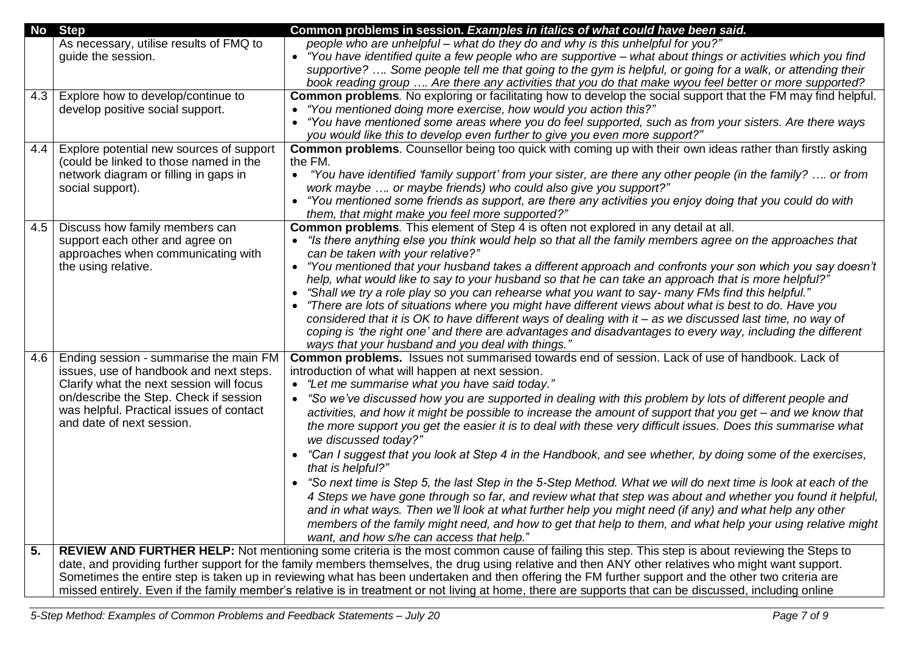| No  | <b>Step</b>                                                                        | Common problems in session. Examples in italics of what could have been said.                                                                                                    |
|-----|------------------------------------------------------------------------------------|----------------------------------------------------------------------------------------------------------------------------------------------------------------------------------|
|     | As necessary, utilise results of FMQ to                                            | people who are unhelpful – what do they do and why is this unhelpful for you?"                                                                                                   |
|     | guide the session.                                                                 | • "You have identified quite a few people who are supportive – what about things or activities which you find                                                                    |
|     |                                                                                    | supportive?  Some people tell me that going to the gym is helpful, or going for a walk, or attending their                                                                       |
|     |                                                                                    | book reading group  Are there any activities that you do that make wyou feel better or more supported?                                                                           |
|     | 4.3   Explore how to develop/continue to<br>develop positive social support.       | Common problems. No exploring or facilitating how to develop the social support that the FM may find helpful.<br>"You mentioned doing more exercise, how would you action this?" |
|     |                                                                                    | • "You have mentioned some areas where you do feel supported, such as from your sisters. Are there ways                                                                          |
|     |                                                                                    | you would like this to develop even further to give you even more support?"                                                                                                      |
| 4.4 | Explore potential new sources of support<br>(could be linked to those named in the | <b>Common problems.</b> Counsellor being too quick with coming up with their own ideas rather than firstly asking<br>the FM.                                                     |
|     | network diagram or filling in gaps in                                              | • "You have identified 'family support' from your sister, are there any other people (in the family?  or from                                                                    |
|     | social support).                                                                   | work maybe  or maybe friends) who could also give you support?"                                                                                                                  |
|     |                                                                                    | • "You mentioned some friends as support, are there any activities you enjoy doing that you could do with<br>them, that might make you feel more supported?"                     |
| 4.5 | Discuss how family members can                                                     | Common problems. This element of Step 4 is often not explored in any detail at all.                                                                                              |
|     | support each other and agree on                                                    | "Is there anything else you think would help so that all the family members agree on the approaches that                                                                         |
|     | approaches when communicating with                                                 | can be taken with your relative?"                                                                                                                                                |
|     | the using relative.                                                                | • "You mentioned that your husband takes a different approach and confronts your son which you say doesn't                                                                       |
|     |                                                                                    | help, what would like to say to your husband so that he can take an approach that is more helpful?"                                                                              |
|     |                                                                                    | "Shall we try a role play so you can rehearse what you want to say- many FMs find this helpful."                                                                                 |
|     |                                                                                    | "There are lots of situations where you might have different views about what is best to do. Have you                                                                            |
|     |                                                                                    | considered that it is $OK$ to have different ways of dealing with it $-$ as we discussed last time, no way of                                                                    |
|     |                                                                                    | coping is 'the right one' and there are advantages and disadvantages to every way, including the different                                                                       |
|     |                                                                                    | ways that your husband and you deal with things."                                                                                                                                |
| 4.6 | Ending session - summarise the main FM                                             | Common problems. Issues not summarised towards end of session. Lack of use of handbook. Lack of                                                                                  |
|     | issues, use of handbook and next steps.                                            | introduction of what will happen at next session.                                                                                                                                |
|     | Clarify what the next session will focus                                           | • "Let me summarise what you have said today."                                                                                                                                   |
|     | on/describe the Step. Check if session                                             | "So we've discussed how you are supported in dealing with this problem by lots of different people and                                                                           |
|     | was helpful. Practical issues of contact                                           | activities, and how it might be possible to increase the amount of support that you get – and we know that                                                                       |
|     | and date of next session.                                                          | the more support you get the easier it is to deal with these very difficult issues. Does this summarise what                                                                     |
|     |                                                                                    | we discussed today?"                                                                                                                                                             |
|     |                                                                                    | "Can I suggest that you look at Step 4 in the Handbook, and see whether, by doing some of the exercises,                                                                         |
|     |                                                                                    | that is helpful?"                                                                                                                                                                |
|     |                                                                                    | "So next time is Step 5, the last Step in the 5-Step Method. What we will do next time is look at each of the                                                                    |
|     |                                                                                    | 4 Steps we have gone through so far, and review what that step was about and whether you found it helpful,                                                                       |
|     |                                                                                    | and in what ways. Then we'll look at what further help you might need (if any) and what help any other                                                                           |
|     |                                                                                    | members of the family might need, and how to get that help to them, and what help your using relative might                                                                      |
|     |                                                                                    | want, and how s/he can access that help."                                                                                                                                        |
| 5.  |                                                                                    | REVIEW AND FURTHER HELP: Not mentioning some criteria is the most common cause of failing this step. This step is about reviewing the Steps to                                   |
|     |                                                                                    | date, and providing further support for the family members themselves, the drug using relative and then ANY other relatives who might want support.                              |
|     |                                                                                    | Sometimes the entire step is taken up in reviewing what has been undertaken and then offering the FM further support and the other two criteria are                              |
|     |                                                                                    | missed entirely. Even if the family member's relative is in treatment or not living at home, there are supports that can be discussed, including online                          |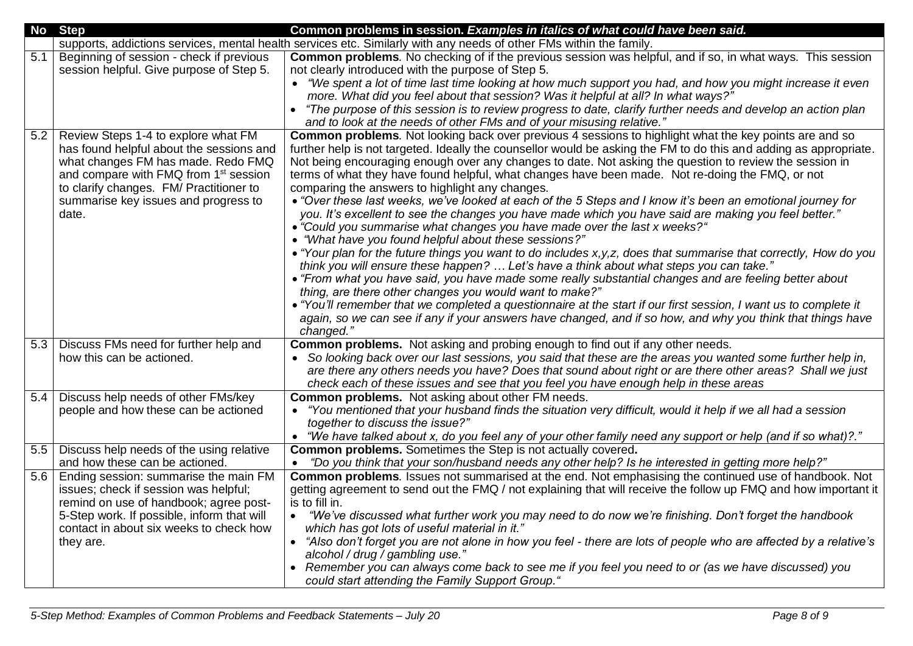|     | No Step                                                                                                                                                                                                                                                                      | Common problems in session. Examples in italics of what could have been said.                                                                                                                                                                                                                                                                                                                                                                                                                                                                                                                                                                                                                                                                                                                                                                                                                                                                                                                                                                                                                                                                                                                                                                           |
|-----|------------------------------------------------------------------------------------------------------------------------------------------------------------------------------------------------------------------------------------------------------------------------------|---------------------------------------------------------------------------------------------------------------------------------------------------------------------------------------------------------------------------------------------------------------------------------------------------------------------------------------------------------------------------------------------------------------------------------------------------------------------------------------------------------------------------------------------------------------------------------------------------------------------------------------------------------------------------------------------------------------------------------------------------------------------------------------------------------------------------------------------------------------------------------------------------------------------------------------------------------------------------------------------------------------------------------------------------------------------------------------------------------------------------------------------------------------------------------------------------------------------------------------------------------|
|     |                                                                                                                                                                                                                                                                              | supports, addictions services, mental health services etc. Similarly with any needs of other FMs within the family.                                                                                                                                                                                                                                                                                                                                                                                                                                                                                                                                                                                                                                                                                                                                                                                                                                                                                                                                                                                                                                                                                                                                     |
| 5.1 | Beginning of session - check if previous<br>session helpful. Give purpose of Step 5.                                                                                                                                                                                         | Common problems. No checking of if the previous session was helpful, and if so, in what ways. This session<br>not clearly introduced with the purpose of Step 5.<br>• "We spent a lot of time last time looking at how much support you had, and how you might increase it even                                                                                                                                                                                                                                                                                                                                                                                                                                                                                                                                                                                                                                                                                                                                                                                                                                                                                                                                                                         |
|     |                                                                                                                                                                                                                                                                              | more. What did you feel about that session? Was it helpful at all? In what ways?"<br>• "The purpose of this session is to review progress to date, clarify further needs and develop an action plan                                                                                                                                                                                                                                                                                                                                                                                                                                                                                                                                                                                                                                                                                                                                                                                                                                                                                                                                                                                                                                                     |
|     |                                                                                                                                                                                                                                                                              | and to look at the needs of other FMs and of your misusing relative."                                                                                                                                                                                                                                                                                                                                                                                                                                                                                                                                                                                                                                                                                                                                                                                                                                                                                                                                                                                                                                                                                                                                                                                   |
|     | 5.2   Review Steps 1-4 to explore what FM<br>has found helpful about the sessions and<br>what changes FM has made. Redo FMQ<br>and compare with FMQ from 1 <sup>st</sup> session<br>to clarify changes. FM/ Practitioner to<br>summarise key issues and progress to<br>date. | <b>Common problems</b> . Not looking back over previous 4 sessions to highlight what the key points are and so<br>further help is not targeted. Ideally the counsellor would be asking the FM to do this and adding as appropriate.<br>Not being encouraging enough over any changes to date. Not asking the question to review the session in<br>terms of what they have found helpful, what changes have been made. Not re-doing the FMQ, or not<br>comparing the answers to highlight any changes.<br>• "Over these last weeks, we've looked at each of the 5 Steps and I know it's been an emotional journey for<br>you. It's excellent to see the changes you have made which you have said are making you feel better."<br>• "Could you summarise what changes you have made over the last x weeks?"<br>• "What have you found helpful about these sessions?"<br>• "Your plan for the future things you want to do includes x,y,z, does that summarise that correctly, How do you<br>think you will ensure these happen?  Let's have a think about what steps you can take."<br>• "From what you have said, you have made some really substantial changes and are feeling better about<br>thing, are there other changes you would want to make?" |
|     |                                                                                                                                                                                                                                                                              | • "You'll remember that we completed a questionnaire at the start if our first session, I want us to complete it<br>again, so we can see if any if your answers have changed, and if so how, and why you think that things have<br>changed."                                                                                                                                                                                                                                                                                                                                                                                                                                                                                                                                                                                                                                                                                                                                                                                                                                                                                                                                                                                                            |
| 5.3 | Discuss FMs need for further help and<br>how this can be actioned.                                                                                                                                                                                                           | <b>Common problems.</b> Not asking and probing enough to find out if any other needs.<br>• So looking back over our last sessions, you said that these are the areas you wanted some further help in,<br>are there any others needs you have? Does that sound about right or are there other areas? Shall we just<br>check each of these issues and see that you feel you have enough help in these areas                                                                                                                                                                                                                                                                                                                                                                                                                                                                                                                                                                                                                                                                                                                                                                                                                                               |
| 5.4 | Discuss help needs of other FMs/key<br>people and how these can be actioned                                                                                                                                                                                                  | <b>Common problems.</b> Not asking about other FM needs.<br>• "You mentioned that your husband finds the situation very difficult, would it help if we all had a session<br>together to discuss the issue?"<br>"We have talked about x, do you feel any of your other family need any support or help (and if so what)?."                                                                                                                                                                                                                                                                                                                                                                                                                                                                                                                                                                                                                                                                                                                                                                                                                                                                                                                               |
|     | 5.5   Discuss help needs of the using relative<br>and how these can be actioned.                                                                                                                                                                                             | Common problems. Sometimes the Step is not actually covered.<br>"Do you think that your son/husband needs any other help? Is he interested in getting more help?"                                                                                                                                                                                                                                                                                                                                                                                                                                                                                                                                                                                                                                                                                                                                                                                                                                                                                                                                                                                                                                                                                       |
|     | 5.6   Ending session: summarise the main FM<br>issues; check if session was helpful;<br>remind on use of handbook; agree post-<br>5-Step work. If possible, inform that will<br>contact in about six weeks to check how<br>they are.                                         | Common problems. Issues not summarised at the end. Not emphasising the continued use of handbook. Not<br>getting agreement to send out the FMQ / not explaining that will receive the follow up FMQ and how important it<br>is to fill in.<br>"We've discussed what further work you may need to do now we're finishing. Don't forget the handbook<br>$\bullet$<br>which has got lots of useful material in it."<br>"Also don't forget you are not alone in how you feel - there are lots of people who are affected by a relative's<br>alcohol / drug / gambling use."<br>• Remember you can always come back to see me if you feel you need to or (as we have discussed) you                                                                                                                                                                                                                                                                                                                                                                                                                                                                                                                                                                          |
|     |                                                                                                                                                                                                                                                                              | could start attending the Family Support Group."                                                                                                                                                                                                                                                                                                                                                                                                                                                                                                                                                                                                                                                                                                                                                                                                                                                                                                                                                                                                                                                                                                                                                                                                        |